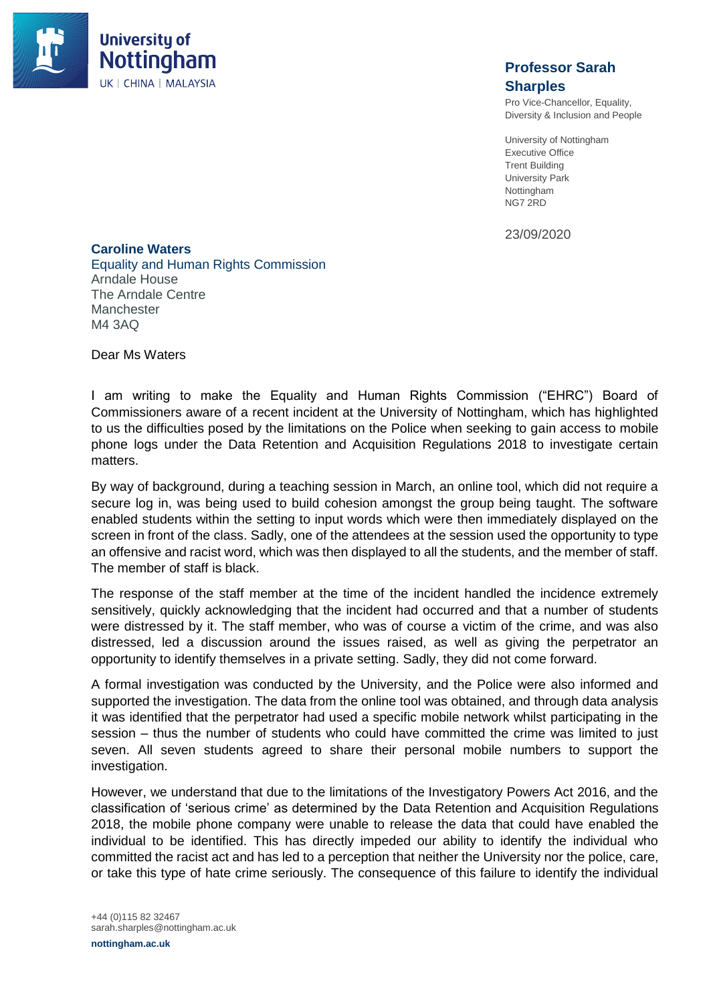

## **Professor Sarah Sharples**

Pro Vice-Chancellor, Equality, Diversity & Inclusion and People

University of Nottingham Executive Office Trent Building University Park Nottingham NG7 2RD

23/09/2020

**Caroline Waters** Equality and Human Rights Commission Arndale House The Arndale Centre **Manchester** M4 3AQ

Dear Ms Waters

I am writing to make the Equality and Human Rights Commission ("EHRC") Board of Commissioners aware of a recent incident at the University of Nottingham, which has highlighted to us the difficulties posed by the limitations on the Police when seeking to gain access to mobile phone logs under the Data Retention and Acquisition Regulations 2018 to investigate certain matters.

By way of background, during a teaching session in March, an online tool, which did not require a secure log in, was being used to build cohesion amongst the group being taught. The software enabled students within the setting to input words which were then immediately displayed on the screen in front of the class. Sadly, one of the attendees at the session used the opportunity to type an offensive and racist word, which was then displayed to all the students, and the member of staff. The member of staff is black.

The response of the staff member at the time of the incident handled the incidence extremely sensitively, quickly acknowledging that the incident had occurred and that a number of students were distressed by it. The staff member, who was of course a victim of the crime, and was also distressed, led a discussion around the issues raised, as well as giving the perpetrator an opportunity to identify themselves in a private setting. Sadly, they did not come forward.

A formal investigation was conducted by the University, and the Police were also informed and supported the investigation. The data from the online tool was obtained, and through data analysis it was identified that the perpetrator had used a specific mobile network whilst participating in the session – thus the number of students who could have committed the crime was limited to just seven. All seven students agreed to share their personal mobile numbers to support the investigation.

However, we understand that due to the limitations of the Investigatory Powers Act 2016, and the classification of 'serious crime' as determined by the Data Retention and Acquisition Regulations 2018, the mobile phone company were unable to release the data that could have enabled the individual to be identified. This has directly impeded our ability to identify the individual who committed the racist act and has led to a perception that neither the University nor the police, care, or take this type of hate crime seriously. The consequence of this failure to identify the individual

+44 (0)115 82 32467 sarah.sharples@nottingham.ac.uk

**nottingham.ac.uk**